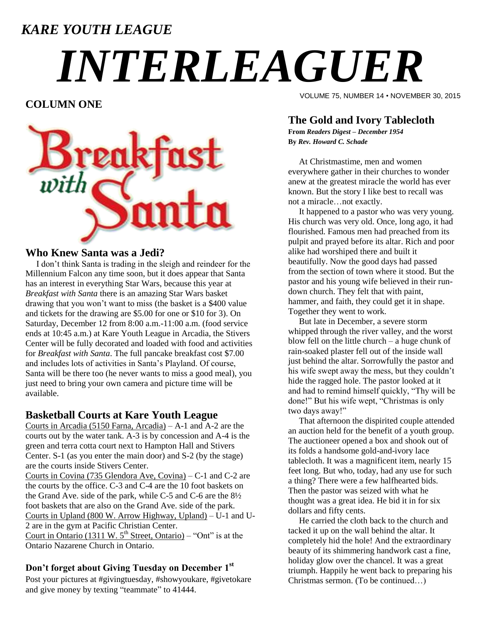### *KARE YOUTH LEAGUE*

# *INTERLEAGUER*

**COLUMN ONE**



#### **Who Knew Santa was a Jedi?**

 I don't think Santa is trading in the sleigh and reindeer for the Millennium Falcon any time soon, but it does appear that Santa has an interest in everything Star Wars, because this year at *Breakfast with Santa* there is an amazing Star Wars basket drawing that you won't want to miss (the basket is a \$400 value and tickets for the drawing are \$5.00 for one or \$10 for 3). On Saturday, December 12 from 8:00 a.m.-11:00 a.m. (food service ends at 10:45 a.m.) at Kare Youth League in Arcadia, the Stivers Center will be fully decorated and loaded with food and activities for *Breakfast with Santa*. The full pancake breakfast cost \$7.00 and includes lots of activities in Santa's Playland. Of course, Santa will be there too (he never wants to miss a good meal), you just need to bring your own camera and picture time will be available.

#### **Basketball Courts at Kare Youth League**

Courts in Arcadia (5150 Farna, Arcadia) – A-1 and A-2 are the courts out by the water tank. A-3 is by concession and A-4 is the green and terra cotta court next to Hampton Hall and Stivers Center. S-1 (as you enter the main door) and S-2 (by the stage) are the courts inside Stivers Center.

Courts in Covina (735 Glendora Ave, Covina) – C-1 and C-2 are the courts by the office. C-3 and C-4 are the 10 foot baskets on the Grand Ave. side of the park, while C-5 and C-6 are the 8½ foot baskets that are also on the Grand Ave. side of the park. Courts in Upland (800 W. Arrow Highway, Upland) – U-1 and U-2 are in the gym at Pacific Christian Center. Court in Ontario (1311 W.  $5<sup>th</sup>$  Street, Ontario) – "Ont" is at the

Ontario Nazarene Church in Ontario.

#### **Don't forget about Giving Tuesday on December 1st**

Post your pictures at #givingtuesday, #showyoukare, #givetokare and give money by texting "teammate" to 41444.

VOLUME 75, NUMBER 14 • NOVEMBER 30, 2015

#### **The Gold and Ivory Tablecloth**

**From** *Readers Digest – December 1954* **By** *Rev. Howard C. Schade*

 At Christmastime, men and women everywhere gather in their churches to wonder anew at the greatest miracle the world has ever known. But the story I like best to recall was not a miracle…not exactly.

 It happened to a pastor who was very young. His church was very old. Once, long ago, it had flourished. Famous men had preached from its pulpit and prayed before its altar. Rich and poor alike had worshiped there and built it beautifully. Now the good days had passed from the section of town where it stood. But the pastor and his young wife believed in their rundown church. They felt that with paint, hammer, and faith, they could get it in shape. Together they went to work.

 But late in December, a severe storm whipped through the river valley, and the worst blow fell on the little church – a huge chunk of rain-soaked plaster fell out of the inside wall just behind the altar. Sorrowfully the pastor and his wife swept away the mess, but they couldn't hide the ragged hole. The pastor looked at it and had to remind himself quickly, "Thy will be done!" But his wife wept, "Christmas is only two days away!"

 That afternoon the dispirited couple attended an auction held for the benefit of a youth group. The auctioneer opened a box and shook out of its folds a handsome gold-and-ivory lace tablecloth. It was a magnificent item, nearly 15 feet long. But who, today, had any use for such a thing? There were a few halfhearted bids. Then the pastor was seized with what he thought was a great idea. He bid it in for six dollars and fifty cents.

 He carried the cloth back to the church and tacked it up on the wall behind the altar. It completely hid the hole! And the extraordinary beauty of its shimmering handwork cast a fine, holiday glow over the chancel. It was a great triumph. Happily he went back to preparing his Christmas sermon. (To be continued…)